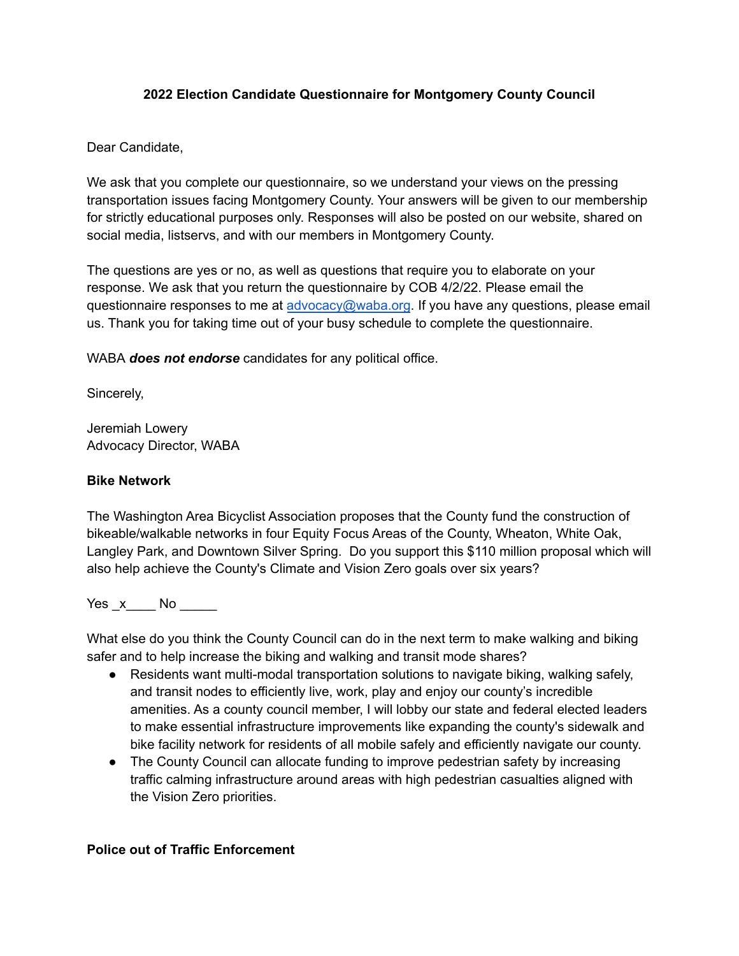## **2022 Election Candidate Questionnaire for Montgomery County Council**

## Dear Candidate,

We ask that you complete our questionnaire, so we understand your views on the pressing transportation issues facing Montgomery County. Your answers will be given to our membership for strictly educational purposes only. Responses will also be posted on our website, shared on social media, listservs, and with our members in Montgomery County.

The questions are yes or no, as well as questions that require you to elaborate on your response. We ask that you return the questionnaire by COB 4/2/22. Please email the questionnaire responses to me at [advocacy@waba.org](mailto:advocacy@waba.org). If you have any questions, please email us. Thank you for taking time out of your busy schedule to complete the questionnaire.

WABA *does not endorse* candidates for any political office.

Sincerely,

Jeremiah Lowery Advocacy Director, WABA

#### **Bike Network**

The Washington Area Bicyclist Association proposes that the County fund the construction of bikeable/walkable networks in four Equity Focus Areas of the County, Wheaton, White Oak, Langley Park, and Downtown Silver Spring. Do you support this \$110 million proposal which will also help achieve the County's Climate and Vision Zero goals over six years?

Yes \_x\_\_\_\_ No \_\_\_\_\_

What else do you think the County Council can do in the next term to make walking and biking safer and to help increase the biking and walking and transit mode shares?

- Residents want multi-modal transportation solutions to navigate biking, walking safely, and transit nodes to efficiently live, work, play and enjoy our county's incredible amenities. As a county council member, I will lobby our state and federal elected leaders to make essential infrastructure improvements like expanding the county's sidewalk and bike facility network for residents of all mobile safely and efficiently navigate our county.
- The County Council can allocate funding to improve pedestrian safety by increasing traffic calming infrastructure around areas with high pedestrian casualties aligned with the Vision Zero priorities.

#### **Police out of Traffic Enforcement**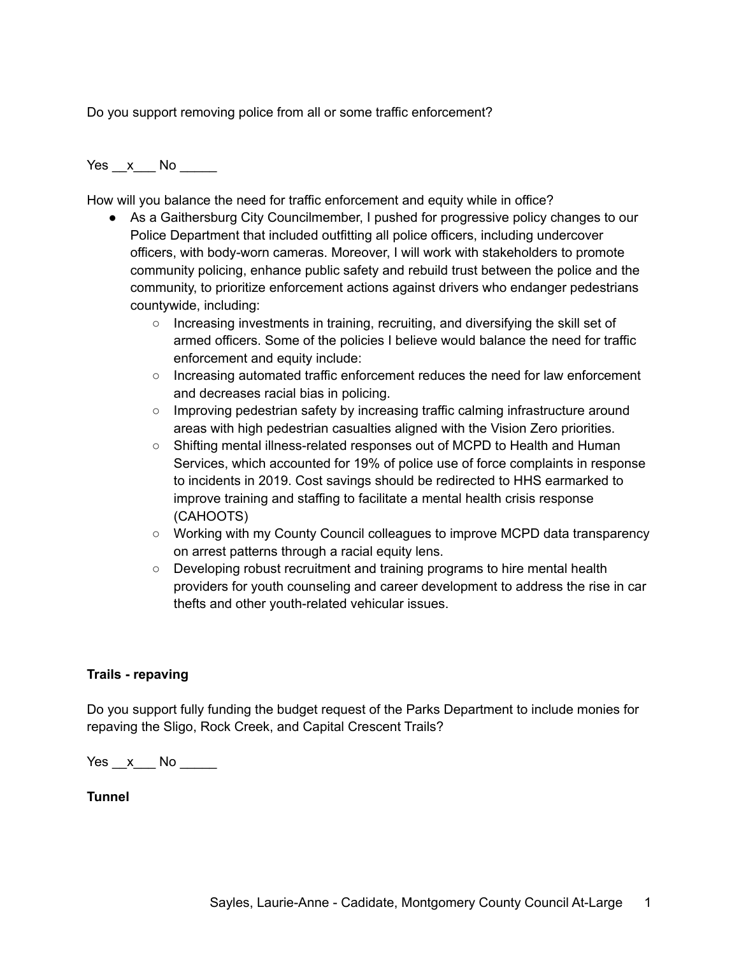Do you support removing police from all or some traffic enforcement?

Yes x No  $\overline{a}$ 

How will you balance the need for traffic enforcement and equity while in office?

- As a Gaithersburg City Councilmember, I pushed for progressive policy changes to our Police Department that included outfitting all police officers, including undercover officers, with body-worn cameras. Moreover, I will work with stakeholders to promote community policing, enhance public safety and rebuild trust between the police and the community, to prioritize enforcement actions against drivers who endanger pedestrians countywide, including:
	- Increasing investments in training, recruiting, and diversifying the skill set of armed officers. Some of the policies I believe would balance the need for traffic enforcement and equity include:
	- **○** Increasing automated traffic enforcement reduces the need for law enforcement and decreases racial bias in policing.
	- **○** Improving pedestrian safety by increasing traffic calming infrastructure around areas with high pedestrian casualties aligned with the Vision Zero priorities.
	- **○** Shifting mental illness-related responses out of MCPD to Health and Human Services, which accounted for 19% of police use of force complaints in response to incidents in 2019. Cost savings should be redirected to HHS earmarked to improve training and staffing to facilitate a mental health crisis response (CAHOOTS)
	- **○** Working with my County Council colleagues to improve MCPD data transparency on arrest patterns through a racial equity lens.
	- **○** Developing robust recruitment and training programs to hire mental health providers for youth counseling and career development to address the rise in car thefts and other youth-related vehicular issues.

# **Trails - repaving**

Do you support fully funding the budget request of the Parks Department to include monies for repaving the Sligo, Rock Creek, and Capital Crescent Trails?

 $Yes \_\ x \_\$  No  $\_\_\_\$ 

**Tunnel**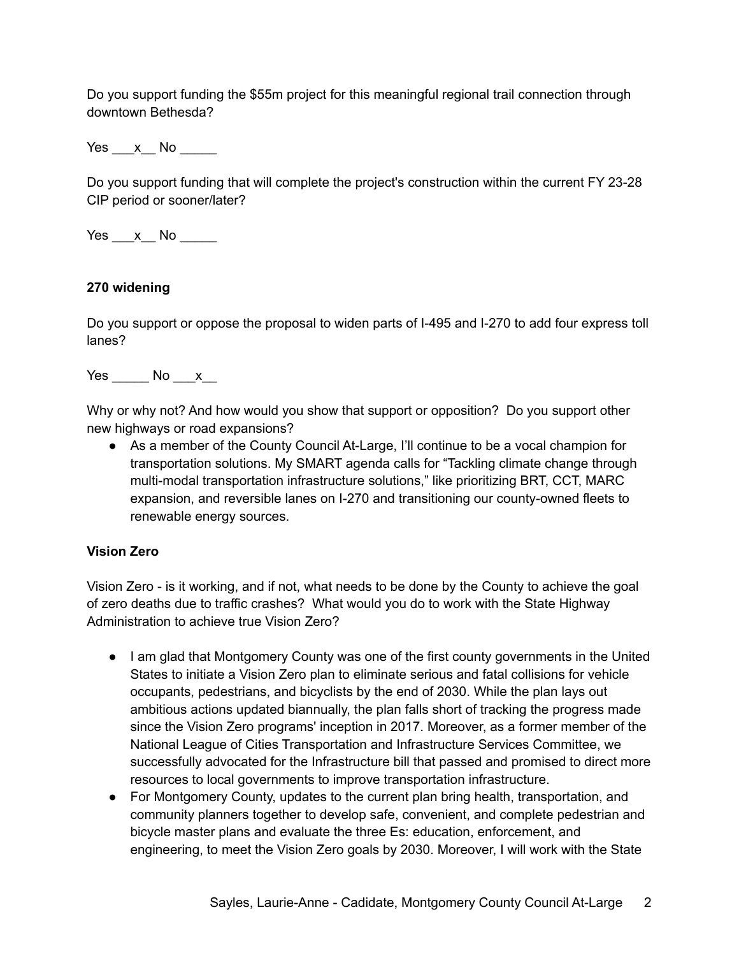Do you support funding the \$55m project for this meaningful regional trail connection through downtown Bethesda?

Yes x No  $\overline{a}$ 

Do you support funding that will complete the project's construction within the current FY 23-28 CIP period or sooner/later?

Yes x No  $\blacksquare$ 

## **270 widening**

Do you support or oppose the proposal to widen parts of I-495 and I-270 to add four express toll lanes?

Yes No x

Why or why not? And how would you show that support or opposition? Do you support other new highways or road expansions?

● As a member of the County Council At-Large, I'll continue to be a vocal champion for transportation solutions. My SMART agenda calls for "Tackling climate change through multi-modal transportation infrastructure solutions," like prioritizing BRT, CCT, MARC expansion, and reversible lanes on I-270 and transitioning our county-owned fleets to renewable energy sources.

# **Vision Zero**

Vision Zero - is it working, and if not, what needs to be done by the County to achieve the goal of zero deaths due to traffic crashes? What would you do to work with the State Highway Administration to achieve true Vision Zero?

- I am glad that Montgomery County was one of the first county governments in the United States to initiate a Vision Zero plan to eliminate serious and fatal collisions for vehicle occupants, pedestrians, and bicyclists by the end of 2030. While the plan lays out ambitious actions updated biannually, the plan falls short of tracking the progress made since the Vision Zero programs' inception in 2017. Moreover, as a former member of the National League of Cities Transportation and Infrastructure Services Committee, we successfully advocated for the Infrastructure bill that passed and promised to direct more resources to local governments to improve transportation infrastructure.
- For Montgomery County, updates to the current plan bring health, transportation, and community planners together to develop safe, convenient, and complete pedestrian and bicycle master plans and evaluate the three Es: education, enforcement, and engineering, to meet the Vision Zero goals by 2030. Moreover, I will work with the State